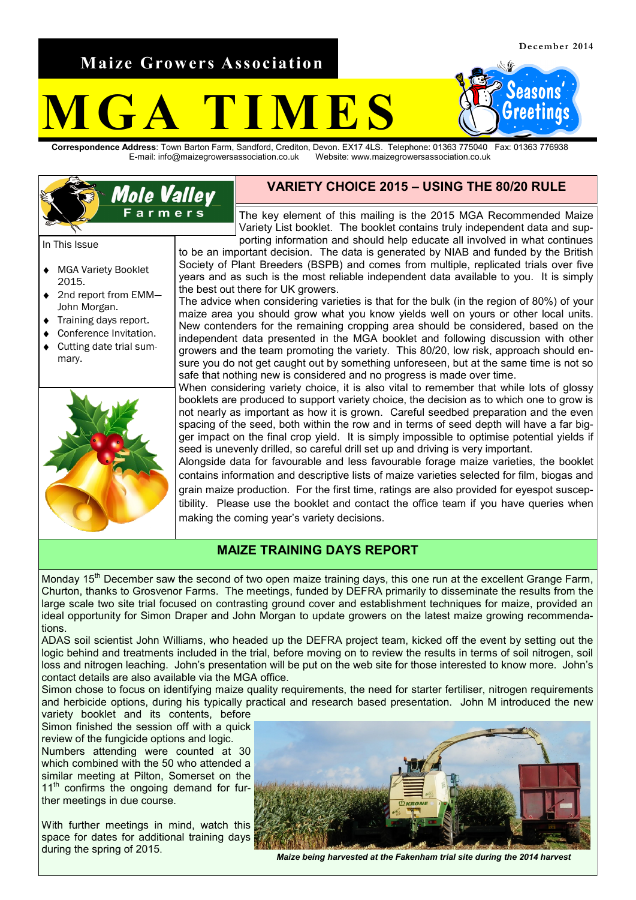**Maize Growers Association**

**Mole Valley** Farmers

easons Greetinas

# **MES**

**Correspondence Address**: Town Barton Farm, Sandford, Crediton, Devon. EX17 4LS. Telephone: 01363 775040 Fax: 01363 776938 E-mail: info@maizegrowersassociation.co.uk Website: www.maizegrowersassociation.co.uk



The key element of this mailing is the 2015 MGA Recommended Maize Variety List booklet. The booklet contains truly independent data and supporting information and should help educate all involved in what continues

to be an important decision. The data is generated by NIAB and funded by the British Society of Plant Breeders (BSPB) and comes from multiple, replicated trials over five years and as such is the most reliable independent data available to you. It is simply the best out there for UK growers.

The advice when considering varieties is that for the bulk (in the region of 80%) of your maize area you should grow what you know yields well on yours or other local units. New contenders for the remaining cropping area should be considered, based on the independent data presented in the MGA booklet and following discussion with other growers and the team promoting the variety. This 80/20, low risk, approach should ensure you do not get caught out by something unforeseen, but at the same time is not so safe that nothing new is considered and no progress is made over time.

When considering variety choice, it is also vital to remember that while lots of glossy booklets are produced to support variety choice, the decision as to which one to grow is not nearly as important as how it is grown. Careful seedbed preparation and the even spacing of the seed, both within the row and in terms of seed depth will have a far bigger impact on the final crop yield. It is simply impossible to optimise potential yields if seed is unevenly drilled, so careful drill set up and driving is very important.

Alongside data for favourable and less favourable forage maize varieties, the booklet contains information and descriptive lists of maize varieties selected for film, biogas and grain maize production. For the first time, ratings are also provided for eyespot susceptibility. Please use the booklet and contact the office team if you have queries when making the coming year's variety decisions.

### **MAIZE TRAINING DAYS REPORT**

Monday 15<sup>th</sup> December saw the second of two open maize training days, this one run at the excellent Grange Farm, Churton, thanks to Grosvenor Farms. The meetings, funded by DEFRA primarily to disseminate the results from the large scale two site trial focused on contrasting ground cover and establishment techniques for maize, provided an ideal opportunity for Simon Draper and John Morgan to update growers on the latest maize growing recommendations.

ADAS soil scientist John Williams, who headed up the DEFRA project team, kicked off the event by setting out the logic behind and treatments included in the trial, before moving on to review the results in terms of soil nitrogen, soil loss and nitrogen leaching. John's presentation will be put on the web site for those interested to know more. John's contact details are also available via the MGA office.

Simon chose to focus on identifying maize quality requirements, the need for starter fertiliser, nitrogen requirements and herbicide options, during his typically practical and research based presentation. John M introduced the new

variety booklet and its contents, before Simon finished the session off with a quick review of the fungicide options and logic. Numbers attending were counted at 30 which combined with the 50 who attended a similar meeting at Pilton, Somerset on the 11<sup>th</sup> confirms the ongoing demand for further meetings in due course.

With further meetings in mind, watch this space for dates for additional training days during the spring of 2015.



*Maize being harvested at the Fakenham trial site during the 2014 harvest*

### In This Issue

- MGA Variety Booklet  $\blacklozenge$ 2015.
- 2nd report from EMM— John Morgan.
- Training days report.
- Conference Invitation.
- Cutting date trial summary.